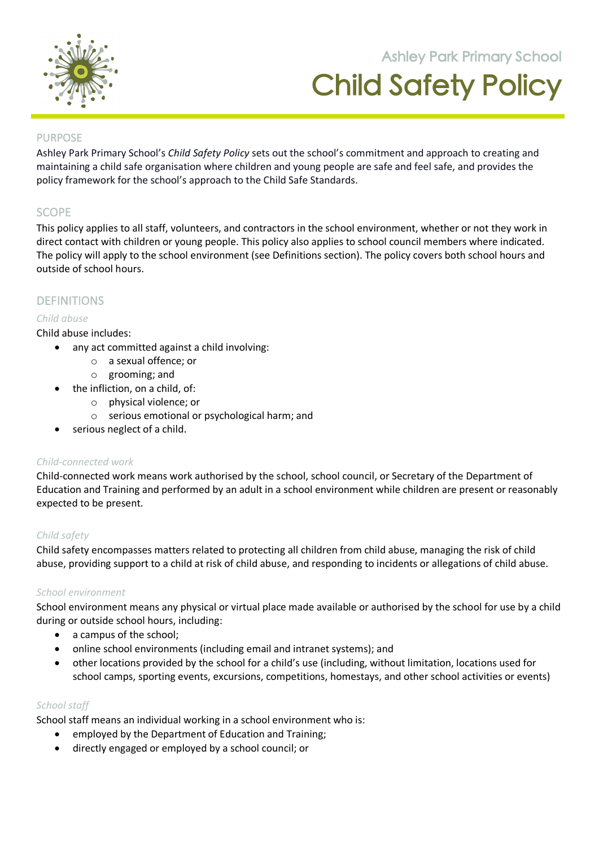

# **Ashley Park Primary School** Child Safety Policy

**105 Orchard Road Doreen 3754**

## PURPOSE

Ashley Park Primary School's *Child Safety Policy* sets out the school's commitment and approach to creating and maintaining a child safe organisation where children and young people are safe and feel safe, and provides the policy framework for the school's approach to the Child Safe Standards.

# **SCOPE**

This policy applies to all staff, volunteers, and contractors in the school environment, whether or not they work in direct contact with children or young people. This policy also applies to school council members where indicated. The policy will apply to the school environment (see Definitions section). The policy covers both school hours and outside of school hours.

# DEFINITIONS

## *Child abuse*

#### Child abuse includes:

- any act committed against a child involving:
	- o a sexual offence; or
	- o grooming; and
- the infliction, on a child, of:
	- o physical violence; or
	- o serious emotional or psychological harm; and
- serious neglect of a child.

## *Child-connected work*

Child-connected work means work authorised by the school, school council, or Secretary of the Department of Education and Training and performed by an adult in a school environment while children are present or reasonably expected to be present.

## *Child safety*

Child safety encompasses matters related to protecting all children from child abuse, managing the risk of child abuse, providing support to a child at risk of child abuse, and responding to incidents or allegations of child abuse.

## *School environment*

School environment means any physical or virtual place made available or authorised by the school for use by a child during or outside school hours, including:

- a campus of the school;
- online school environments (including email and intranet systems); and
- other locations provided by the school for a child's use (including, without limitation, locations used for school camps, sporting events, excursions, competitions, homestays, and other school activities or events)

## *School staff*

School staff means an individual working in a school environment who is:

- employed by the Department of Education and Training;
- directly engaged or employed by a school council; or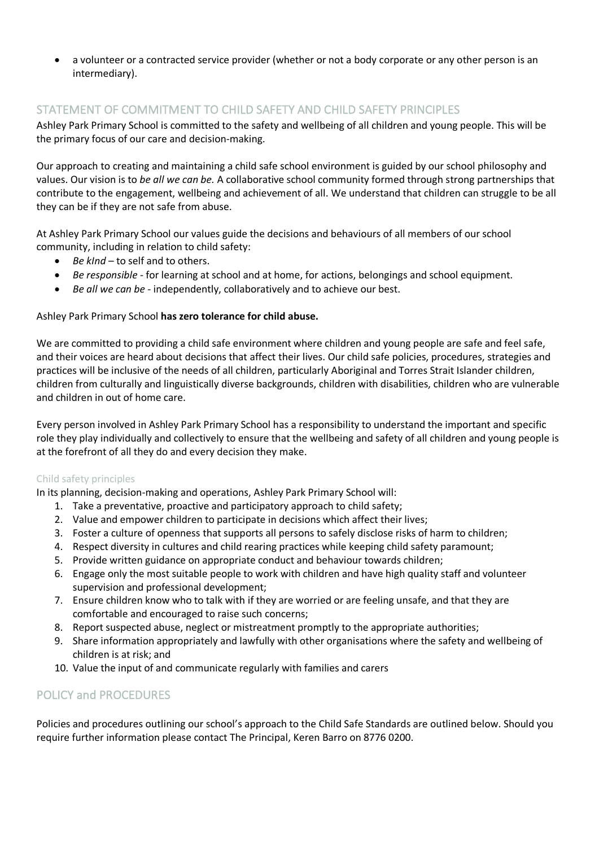• a volunteer or a contracted service provider (whether or not a body corporate or any other person is an intermediary).

# STATEMENT OF COMMITMENT TO CHILD SAFETY AND CHILD SAFETY PRINCIPLES

Ashley Park Primary School is committed to the safety and wellbeing of all children and young people. This will be the primary focus of our care and decision-making.

Our approach to creating and maintaining a child safe school environment is guided by our school philosophy and values. Our vision is to *be all we can be.* A collaborative school community formed through strong partnerships that contribute to the engagement, wellbeing and achievement of all. We understand that children can struggle to be all they can be if they are not safe from abuse.

At Ashley Park Primary School our values guide the decisions and behaviours of all members of our school community, including in relation to child safety:

- *Be kInd* to self and to others.
- *Be responsible* for learning at school and at home, for actions, belongings and school equipment.
- *Be all we can be -* independently, collaboratively and to achieve our best.

#### Ashley Park Primary School **has zero tolerance for child abuse.**

We are committed to providing a child safe environment where children and young people are safe and feel safe, and their voices are heard about decisions that affect their lives. Our child safe policies, procedures, strategies and practices will be inclusive of the needs of all children, particularly Aboriginal and Torres Strait Islander children, children from culturally and linguistically diverse backgrounds, children with disabilities, children who are vulnerable and children in out of home care.

Every person involved in Ashley Park Primary School has a responsibility to understand the important and specific role they play individually and collectively to ensure that the wellbeing and safety of all children and young people is at the forefront of all they do and every decision they make.

#### Child safety principles

In its planning, decision-making and operations, Ashley Park Primary School will:

- 1. Take a preventative, proactive and participatory approach to child safety;
- 2. Value and empower children to participate in decisions which affect their lives;
- 3. Foster a culture of openness that supports all persons to safely disclose risks of harm to children;
- 4. Respect diversity in cultures and child rearing practices while keeping child safety paramount;
- 5. Provide written guidance on appropriate conduct and behaviour towards children;
- 6. Engage only the most suitable people to work with children and have high quality staff and volunteer supervision and professional development;
- 7. Ensure children know who to talk with if they are worried or are feeling unsafe, and that they are comfortable and encouraged to raise such concerns;
- 8. Report suspected abuse, neglect or mistreatment promptly to the appropriate authorities;
- 9. Share information appropriately and lawfully with other organisations where the safety and wellbeing of children is at risk; and
- 10. Value the input of and communicate regularly with families and carers

## POLICY and PROCEDURES

Policies and procedures outlining our school's approach to the Child Safe Standards are outlined below. Should you require further information please contact The Principal, Keren Barro on 8776 0200.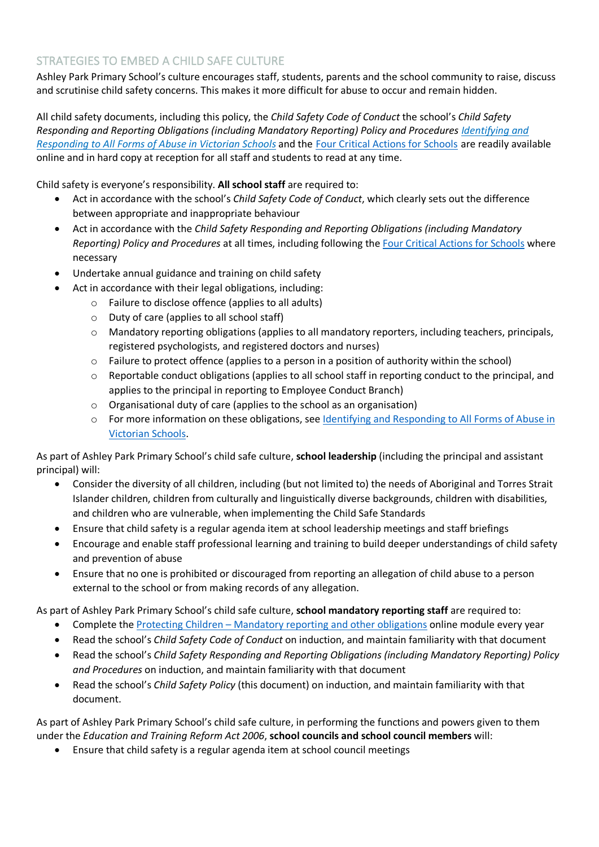# STRATEGIES TO EMBED A CHILD SAFE CULTURE

Ashley Park Primary School's culture encourages staff, students, parents and the school community to raise, discuss and scrutinise child safety concerns. This makes it more difficult for abuse to occur and remain hidden.

All child safety documents, including this policy, the *Child Safety Code of Conduct* the school's *Child Safety Responding and Reporting Obligations (including Mandatory Reporting) Policy and Procedures Identifying and Responding to All Forms of Abuse in Victorian Schools* and the Four Critical Actions for Schools are readily available online and in hard copy at reception for all staff and students to read at any time.

Child safety is everyone's responsibility. **All school staff** are required to:

- Act in accordance with the school's *Child Safety Code of Conduct*, which clearly sets out the difference between appropriate and inappropriate behaviour
- Act in accordance with the *Child Safety Responding and Reporting Obligations (including Mandatory Reporting) Policy and Procedures* at all times, including following the Four Critical Actions for Schools where necessary
- Undertake annual guidance and training on child safety
- Act in accordance with their legal obligations, including:
	- o Failure to disclose offence (applies to all adults)
	- o Duty of care (applies to all school staff)
	- o Mandatory reporting obligations (applies to all mandatory reporters, including teachers, principals, registered psychologists, and registered doctors and nurses)
	- o Failure to protect offence (applies to a person in a position of authority within the school)
	- o Reportable conduct obligations (applies to all school staff in reporting conduct to the principal, and applies to the principal in reporting to Employee Conduct Branch)
	- o Organisational duty of care (applies to the school as an organisation)
	- o For more information on these obligations, see Identifying and Responding to All Forms of Abuse in Victorian Schools.

As part of Ashley Park Primary School's child safe culture, **school leadership** (including the principal and assistant principal) will:

- Consider the diversity of all children, including (but not limited to) the needs of Aboriginal and Torres Strait Islander children, children from culturally and linguistically diverse backgrounds, children with disabilities, and children who are vulnerable, when implementing the Child Safe Standards
- Ensure that child safety is a regular agenda item at school leadership meetings and staff briefings
- Encourage and enable staff professional learning and training to build deeper understandings of child safety and prevention of abuse
- Ensure that no one is prohibited or discouraged from reporting an allegation of child abuse to a person external to the school or from making records of any allegation.

As part of Ashley Park Primary School's child safe culture, **school mandatory reporting staff** are required to:

- Complete the Protecting Children Mandatory reporting and other obligations online module every year
- Read the school's *Child Safety Code of Conduct* on induction, and maintain familiarity with that document
- Read the school's *Child Safety Responding and Reporting Obligations (including Mandatory Reporting) Policy and Procedures* on induction, and maintain familiarity with that document
- Read the school's *Child Safety Policy* (this document) on induction, and maintain familiarity with that document.

As part of Ashley Park Primary School's child safe culture, in performing the functions and powers given to them under the *Education and Training Reform Act 2006*, **school councils and school council members** will:

• Ensure that child safety is a regular agenda item at school council meetings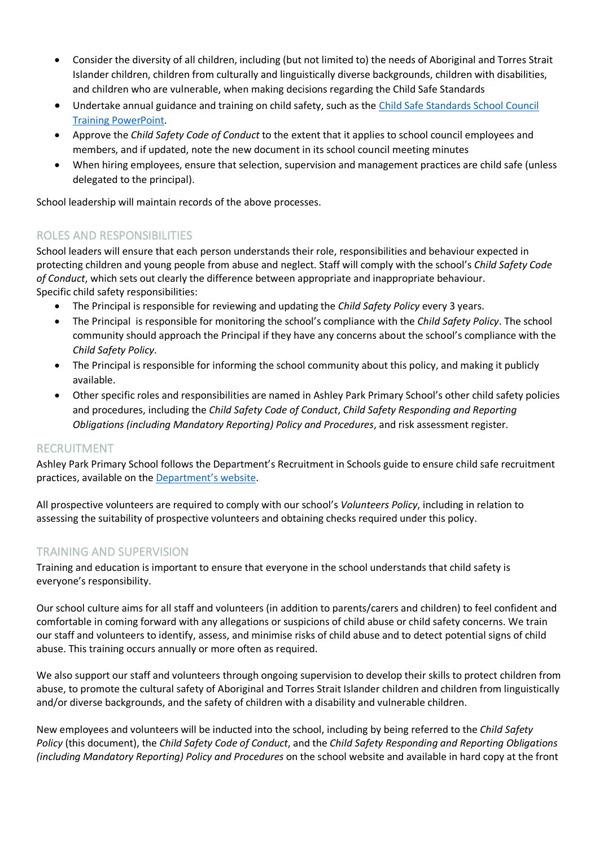- Consider the diversity of all children, including (but not limited to) the needs of Aboriginal and Torres Strait Islander children, children from culturally and linguistically diverse backgrounds, children with disabilities, and children who are vulnerable, when making decisions regarding the Child Safe Standards
- Undertake annual guidance and training on child safety, such as the Child Safe Standards School Council Training PowerPoint.
- Approve the *Child Safety Code of Conduct* to the extent that it applies to school council employees and members, and if updated, note the new document in its school council meeting minutes
- When hiring employees, ensure that selection, supervision and management practices are child safe (unless delegated to the principal).

School leadership will maintain records of the above processes.

# ROLES AND RESPONSIBILITIES

School leaders will ensure that each person understands their role, responsibilities and behaviour expected in protecting children and young people from abuse and neglect. Staff will comply with the school's *Child Safety Code of Conduct*, which sets out clearly the difference between appropriate and inappropriate behaviour. Specific child safety responsibilities:

- The Principal is responsible for reviewing and updating the *Child Safety Policy* every 3 years.
- The Principal is responsible for monitoring the school's compliance with the *Child Safety Policy*. The school community should approach the Principal if they have any concerns about the school's compliance with the *Child Safety Policy*.
- The Principal is responsible for informing the school community about this policy, and making it publicly available.
- Other specific roles and responsibilities are named in Ashley Park Primary School's other child safety policies and procedures, including the *Child Safety Code of Conduct*, *Child Safety Responding and Reporting Obligations (including Mandatory Reporting) Policy and Procedures*, and risk assessment register.

## RECRUITMENT

Ashley Park Primary School follows the Department's Recruitment in Schools guide to ensure child safe recruitment practices, available on the Department's website.

All prospective volunteers are required to comply with our school's *Volunteers Policy*, including in relation to assessing the suitability of prospective volunteers and obtaining checks required under this policy.

## TRAINING AND SUPERVISION

Training and education is important to ensure that everyone in the school understands that child safety is everyone's responsibility.

Our school culture aims for all staff and volunteers (in addition to parents/carers and children) to feel confident and comfortable in coming forward with any allegations or suspicions of child abuse or child safety concerns. We train our staff and volunteers to identify, assess, and minimise risks of child abuse and to detect potential signs of child abuse. This training occurs annually or more often as required.

We also support our staff and volunteers through ongoing supervision to develop their skills to protect children from abuse, to promote the cultural safety of Aboriginal and Torres Strait Islander children and children from linguistically and/or diverse backgrounds, and the safety of children with a disability and vulnerable children.

New employees and volunteers will be inducted into the school, including by being referred to the *Child Safety Policy* (this document), the *Child Safety Code of Conduct*, and the *Child Safety Responding and Reporting Obligations (including Mandatory Reporting) Policy and Procedures* on the school website and available in hard copy at the front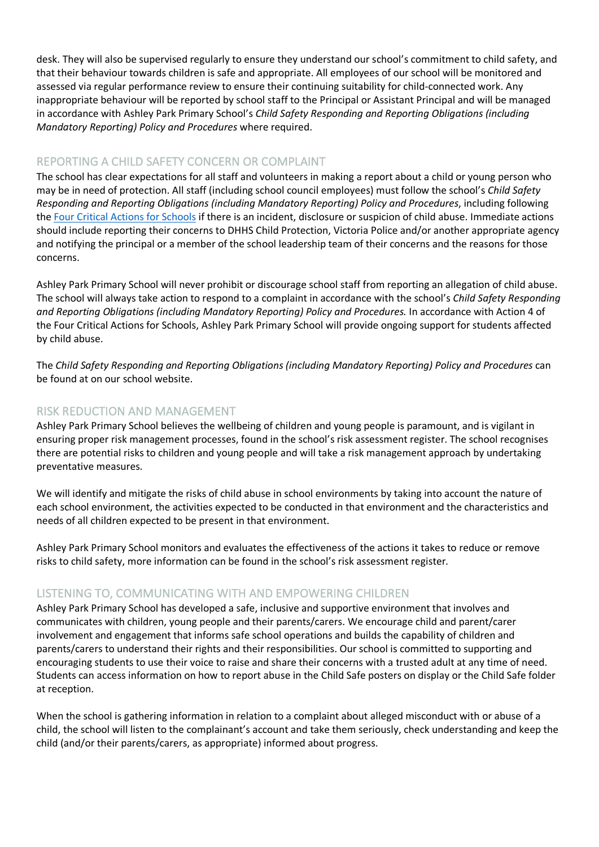desk. They will also be supervised regularly to ensure they understand our school's commitment to child safety, and that their behaviour towards children is safe and appropriate. All employees of our school will be monitored and assessed via regular performance review to ensure their continuing suitability for child-connected work. Any inappropriate behaviour will be reported by school staff to the Principal or Assistant Principal and will be managed in accordance with Ashley Park Primary School's *Child Safety Responding and Reporting Obligations (including Mandatory Reporting) Policy and Procedures* where required.

# REPORTING A CHILD SAFETY CONCERN OR COMPLAINT

The school has clear expectations for all staff and volunteers in making a report about a child or young person who may be in need of protection. All staff (including school council employees) must follow the school's *Child Safety Responding and Reporting Obligations (including Mandatory Reporting) Policy and Procedures*, including following the Four Critical Actions for Schools if there is an incident, disclosure or suspicion of child abuse. Immediate actions should include reporting their concerns to DHHS Child Protection, Victoria Police and/or another appropriate agency and notifying the principal or a member of the school leadership team of their concerns and the reasons for those concerns.

Ashley Park Primary School will never prohibit or discourage school staff from reporting an allegation of child abuse. The school will always take action to respond to a complaint in accordance with the school's *Child Safety Responding and Reporting Obligations (including Mandatory Reporting) Policy and Procedures.* In accordance with Action 4 of the Four Critical Actions for Schools, Ashley Park Primary School will provide ongoing support for students affected by child abuse.

The *Child Safety Responding and Reporting Obligations (including Mandatory Reporting) Policy and Procedures* can be found at on our school website.

# RISK REDUCTION AND MANAGEMENT

Ashley Park Primary School believes the wellbeing of children and young people is paramount, and is vigilant in ensuring proper risk management processes, found in the school's risk assessment register. The school recognises there are potential risks to children and young people and will take a risk management approach by undertaking preventative measures.

We will identify and mitigate the risks of child abuse in school environments by taking into account the nature of each school environment, the activities expected to be conducted in that environment and the characteristics and needs of all children expected to be present in that environment.

Ashley Park Primary School monitors and evaluates the effectiveness of the actions it takes to reduce or remove risks to child safety, more information can be found in the school's risk assessment register.

# LISTENING TO, COMMUNICATING WITH AND EMPOWERING CHILDREN

Ashley Park Primary School has developed a safe, inclusive and supportive environment that involves and communicates with children, young people and their parents/carers. We encourage child and parent/carer involvement and engagement that informs safe school operations and builds the capability of children and parents/carers to understand their rights and their responsibilities. Our school is committed to supporting and encouraging students to use their voice to raise and share their concerns with a trusted adult at any time of need. Students can access information on how to report abuse in the Child Safe posters on display or the Child Safe folder at reception.

When the school is gathering information in relation to a complaint about alleged misconduct with or abuse of a child, the school will listen to the complainant's account and take them seriously, check understanding and keep the child (and/or their parents/carers, as appropriate) informed about progress.